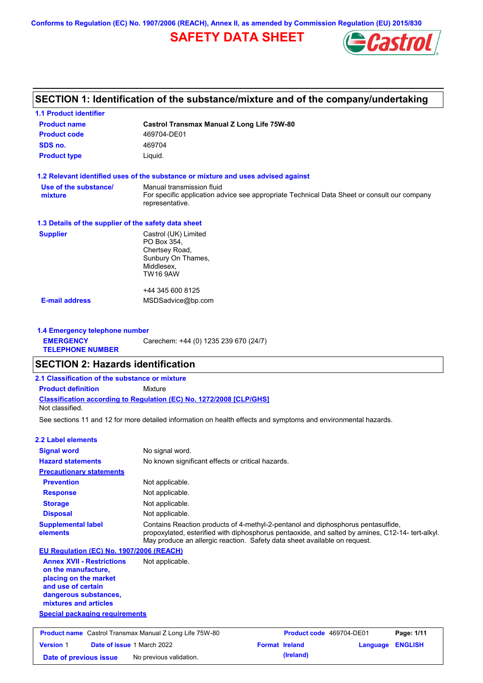**Conforms to Regulation (EC) No. 1907/2006 (REACH), Annex II, as amended by Commission Regulation (EU) 2015/830**

# **SAFETY DATA SHEET**



# **SECTION 1: Identification of the substance/mixture and of the company/undertaking**

| <b>1.1 Product identifier</b>                        |                                                                                                                                             |
|------------------------------------------------------|---------------------------------------------------------------------------------------------------------------------------------------------|
| <b>Product name</b>                                  | <b>Castrol Transmax Manual Z Long Life 75W-80</b>                                                                                           |
| <b>Product code</b>                                  | 469704-DE01                                                                                                                                 |
| SDS no.                                              | 469704                                                                                                                                      |
| <b>Product type</b>                                  | Liquid.                                                                                                                                     |
|                                                      | 1.2 Relevant identified uses of the substance or mixture and uses advised against                                                           |
| Use of the substance/<br>mixture                     | Manual transmission fluid<br>For specific application advice see appropriate Technical Data Sheet or consult our company<br>representative. |
| 1.3 Details of the supplier of the safety data sheet |                                                                                                                                             |
| <b>Supplier</b>                                      | Castrol (UK) Limited<br>PO Box 354,<br>Chertsey Road,<br>Sunbury On Thames,<br>Middlesex,<br>TW16 9AW                                       |
|                                                      | +44 345 600 8125                                                                                                                            |
| <b>E-mail address</b>                                | MSDSadvice@bp.com                                                                                                                           |

#### **1.4 Emergency telephone number EMERGENCY TELEPHONE NUMBER** Carechem: +44 (0) 1235 239 670 (24/7)

## **SECTION 2: Hazards identification**

## **Classification according to Regulation (EC) No. 1272/2008 [CLP/GHS] 2.1 Classification of the substance or mixture Product definition** Mixture

Not classified.

See sections 11 and 12 for more detailed information on health effects and symptoms and environmental hazards.

## **2.2 Label elements**

| <b>Signal word</b>                                                                                                                                       | No signal word.                                                                                                                                                                                                                                                   |
|----------------------------------------------------------------------------------------------------------------------------------------------------------|-------------------------------------------------------------------------------------------------------------------------------------------------------------------------------------------------------------------------------------------------------------------|
| <b>Hazard statements</b>                                                                                                                                 | No known significant effects or critical hazards.                                                                                                                                                                                                                 |
| <b>Precautionary statements</b>                                                                                                                          |                                                                                                                                                                                                                                                                   |
| <b>Prevention</b>                                                                                                                                        | Not applicable.                                                                                                                                                                                                                                                   |
| <b>Response</b>                                                                                                                                          | Not applicable.                                                                                                                                                                                                                                                   |
| <b>Storage</b>                                                                                                                                           | Not applicable.                                                                                                                                                                                                                                                   |
| <b>Disposal</b>                                                                                                                                          | Not applicable.                                                                                                                                                                                                                                                   |
| <b>Supplemental label</b><br>elements                                                                                                                    | Contains Reaction products of 4-methyl-2-pentanol and diphosphorus pentasulfide,<br>propoxylated, esterified with diphosphorus pentaoxide, and salted by amines, C12-14- tert-alkyl.<br>May produce an allergic reaction. Safety data sheet available on request. |
| <b>EU Regulation (EC) No. 1907/2006 (REACH)</b>                                                                                                          |                                                                                                                                                                                                                                                                   |
| <b>Annex XVII - Restrictions</b><br>on the manufacture.<br>placing on the market<br>and use of certain<br>dangerous substances,<br>mixtures and articles | Not applicable.                                                                                                                                                                                                                                                   |
| <b>Special packaging requirements</b>                                                                                                                    |                                                                                                                                                                                                                                                                   |

| <b>Product name</b> Castrol Transmax Manual Z Long Life 75W-80 |  |                                   | <b>Product code</b> 469704-DE01 |                       | Page: 1/11              |  |
|----------------------------------------------------------------|--|-----------------------------------|---------------------------------|-----------------------|-------------------------|--|
| <b>Version 1</b>                                               |  | <b>Date of issue 1 March 2022</b> |                                 | <b>Format Ireland</b> | <b>Language ENGLISH</b> |  |
| Date of previous issue                                         |  | No previous validation.           |                                 | (Ireland)             |                         |  |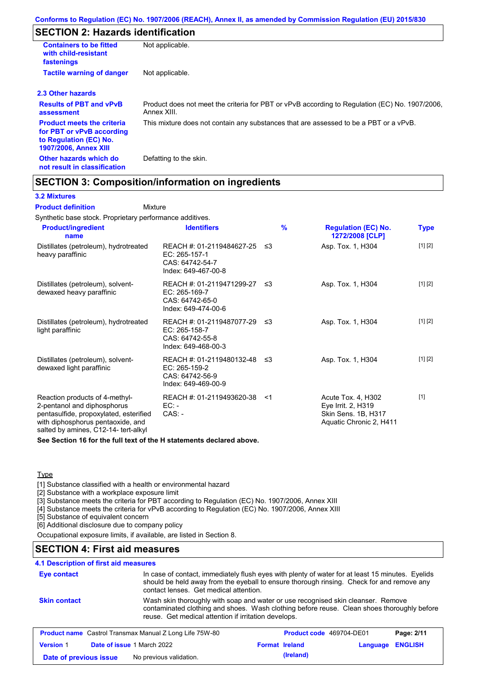# **SECTION 2: Hazards identification**

| <b>Containers to be fitted</b><br>with child-resistant<br>fastenings                                                     | Not applicable.                                                                                               |
|--------------------------------------------------------------------------------------------------------------------------|---------------------------------------------------------------------------------------------------------------|
| <b>Tactile warning of danger</b>                                                                                         | Not applicable.                                                                                               |
| 2.3 Other hazards                                                                                                        |                                                                                                               |
| <b>Results of PBT and vPvB</b><br>assessment                                                                             | Product does not meet the criteria for PBT or vPvB according to Regulation (EC) No. 1907/2006,<br>Annex XIII. |
| <b>Product meets the criteria</b><br>for PBT or vPvB according<br>to Regulation (EC) No.<br><b>1907/2006, Annex XIII</b> | This mixture does not contain any substances that are assessed to be a PBT or a vPvB.                         |
| Other hazards which do<br>not result in classification                                                                   | Defatting to the skin.                                                                                        |

## **SECTION 3: Composition/information on ingredients**

#### **3.2 Mixtures**

Mixture **Product definition**

Synthetic base stock. Proprietary performance additives.

| <b>Product/ingredient</b><br>name                                                                                                                                                    | <b>Identifiers</b>                                                                      | $\frac{9}{6}$ | <b>Regulation (EC) No.</b><br>1272/2008 [CLP]                                              | <b>Type</b> |
|--------------------------------------------------------------------------------------------------------------------------------------------------------------------------------------|-----------------------------------------------------------------------------------------|---------------|--------------------------------------------------------------------------------------------|-------------|
| Distillates (petroleum), hydrotreated<br>heavy paraffinic                                                                                                                            | REACH #: 01-2119484627-25<br>EC: 265-157-1<br>CAS: 64742-54-7<br>Index: 649-467-00-8    | -≤3           | Asp. Tox. 1, H304                                                                          | [1] [2]     |
| Distillates (petroleum), solvent-<br>dewaxed heavy paraffinic                                                                                                                        | REACH #: 01-2119471299-27 ≤3<br>EC: 265-169-7<br>CAS: 64742-65-0<br>Index: 649-474-00-6 |               | Asp. Tox. 1, H304                                                                          | [1] [2]     |
| Distillates (petroleum), hydrotreated<br>light paraffinic                                                                                                                            | REACH #: 01-2119487077-29 ≤3<br>EC: 265-158-7<br>CAS: 64742-55-8<br>Index: 649-468-00-3 |               | Asp. Tox. 1, H304                                                                          | [1] [2]     |
| Distillates (petroleum), solvent-<br>dewaxed light paraffinic                                                                                                                        | REACH #: 01-2119480132-48 ≤3<br>EC: 265-159-2<br>CAS: 64742-56-9<br>Index: 649-469-00-9 |               | Asp. Tox. 1, H304                                                                          | [1] [2]     |
| Reaction products of 4-methyl-<br>2-pentanol and diphosphorus<br>pentasulfide, propoxylated, esterified<br>with diphosphorus pentaoxide, and<br>salted by amines, C12-14- tert-alkyl | REACH #: 01-2119493620-38<br>$EC: -$<br>$CAS: -$                                        | $<$ 1         | Acute Tox. 4, H302<br>Eye Irrit. 2, H319<br>Skin Sens. 1B, H317<br>Aquatic Chronic 2, H411 | $[1]$       |

**See Section 16 for the full text of the H statements declared above.**

### **Type**

[1] Substance classified with a health or environmental hazard

[2] Substance with a workplace exposure limit

[3] Substance meets the criteria for PBT according to Regulation (EC) No. 1907/2006, Annex XIII

[4] Substance meets the criteria for vPvB according to Regulation (EC) No. 1907/2006, Annex XIII

[5] Substance of equivalent concern

[6] Additional disclosure due to company policy

Occupational exposure limits, if available, are listed in Section 8.

## **SECTION 4: First aid measures**

### **4.1 Description of first aid measures**

| Eye contact            | In case of contact, immediately flush eyes with plenty of water for at least 15 minutes. Eyelids<br>should be held away from the eyeball to ensure thorough rinsing. Check for and remove any<br>contact lenses. Get medical attention. |  |                       |                          |                |
|------------------------|-----------------------------------------------------------------------------------------------------------------------------------------------------------------------------------------------------------------------------------------|--|-----------------------|--------------------------|----------------|
| <b>Skin contact</b>    | Wash skin thoroughly with soap and water or use recognised skin cleanser. Remove<br>contaminated clothing and shoes. Wash clothing before reuse. Clean shoes thoroughly before<br>reuse. Get medical attention if irritation develops.  |  |                       |                          |                |
|                        | <b>Product name</b> Castrol Transmax Manual Z Long Life 75W-80                                                                                                                                                                          |  |                       | Product code 469704-DE01 | Page: 2/11     |
| <b>Version 1</b>       | <b>Date of issue 1 March 2022</b>                                                                                                                                                                                                       |  | <b>Format Ireland</b> | Language                 | <b>ENGLISH</b> |
| Date of previous issue | No previous validation.                                                                                                                                                                                                                 |  | (Ireland)             |                          |                |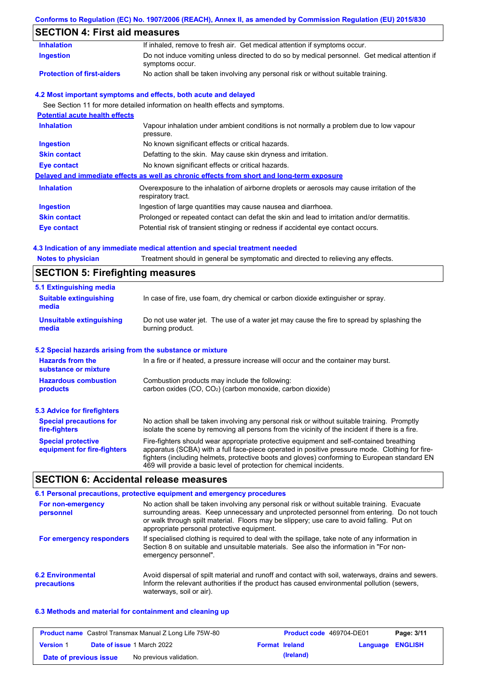## **Conforms to Regulation (EC) No. 1907/2006 (REACH), Annex II, as amended by Commission Regulation (EU) 2015/830**

# **SECTION 4: First aid measures**

| <b>Inhalation</b>                     | If inhaled, remove to fresh air. Get medical attention if symptoms occur.                                         |
|---------------------------------------|-------------------------------------------------------------------------------------------------------------------|
| <b>Ingestion</b>                      | Do not induce vomiting unless directed to do so by medical personnel. Get medical attention if<br>symptoms occur. |
| <b>Protection of first-aiders</b>     | No action shall be taken involving any personal risk or without suitable training.                                |
|                                       | 4.2 Most important symptoms and effects, both acute and delayed                                                   |
|                                       | See Section 11 for more detailed information on health effects and symptoms.                                      |
| <b>Potential acute health effects</b> |                                                                                                                   |
| <b>Inhalation</b>                     | Vapour inhalation under ambient conditions is not normally a problem due to low vapour<br>pressure.               |
| Ingestion                             | No known significant effects or critical hazards.                                                                 |
| <b>Skin contact</b>                   | Defatting to the skin. May cause skin dryness and irritation.                                                     |
| <b>Eye contact</b>                    | No known significant effects or critical hazards.                                                                 |
|                                       | Delayed and immediate effects as well as chronic effects from short and long-term exposure                        |
| <b>Inhalation</b>                     | Overexposure to the inhalation of airborne droplets or aerosols may cause irritation of the<br>respiratory tract. |
| <b>Ingestion</b>                      | Ingestion of large quantities may cause nausea and diarrhoea.                                                     |
| <b>Skin contact</b>                   | Prolonged or repeated contact can defat the skin and lead to irritation and/or dermatitis.                        |
| Eye contact                           | Potential risk of transient stinging or redness if accidental eye contact occurs.                                 |

## **4.3 Indication of any immediate medical attention and special treatment needed**

| <b>Notes to physician</b>                                 | Treatment should in general be symptomatic and directed to relieving any effects.                                                                                                                                                                                                                                                                                 |  |  |  |
|-----------------------------------------------------------|-------------------------------------------------------------------------------------------------------------------------------------------------------------------------------------------------------------------------------------------------------------------------------------------------------------------------------------------------------------------|--|--|--|
| <b>SECTION 5: Firefighting measures</b>                   |                                                                                                                                                                                                                                                                                                                                                                   |  |  |  |
| 5.1 Extinguishing media                                   |                                                                                                                                                                                                                                                                                                                                                                   |  |  |  |
| <b>Suitable extinguishing</b><br>media                    | In case of fire, use foam, dry chemical or carbon dioxide extinguisher or spray.                                                                                                                                                                                                                                                                                  |  |  |  |
| <b>Unsuitable extinguishing</b><br>media                  | Do not use water jet. The use of a water jet may cause the fire to spread by splashing the<br>burning product.                                                                                                                                                                                                                                                    |  |  |  |
| 5.2 Special hazards arising from the substance or mixture |                                                                                                                                                                                                                                                                                                                                                                   |  |  |  |
| <b>Hazards from the</b><br>substance or mixture           | In a fire or if heated, a pressure increase will occur and the container may burst.                                                                                                                                                                                                                                                                               |  |  |  |
| <b>Hazardous combustion</b>                               | Combustion products may include the following:                                                                                                                                                                                                                                                                                                                    |  |  |  |
| products                                                  | carbon oxides (CO, CO2) (carbon monoxide, carbon dioxide)                                                                                                                                                                                                                                                                                                         |  |  |  |
| 5.3 Advice for firefighters                               |                                                                                                                                                                                                                                                                                                                                                                   |  |  |  |
| <b>Special precautions for</b><br>fire-fighters           | No action shall be taken involving any personal risk or without suitable training. Promptly<br>isolate the scene by removing all persons from the vicinity of the incident if there is a fire.                                                                                                                                                                    |  |  |  |
| <b>Special protective</b><br>equipment for fire-fighters  | Fire-fighters should wear appropriate protective equipment and self-contained breathing<br>apparatus (SCBA) with a full face-piece operated in positive pressure mode. Clothing for fire-<br>fighters (including helmets, protective boots and gloves) conforming to European standard EN<br>469 will provide a basic level of protection for chemical incidents. |  |  |  |

# **SECTION 6: Accidental release measures**

|                                         | 6.1 Personal precautions, protective equipment and emergency procedures                                                                                                                                                                                                                                                             |
|-----------------------------------------|-------------------------------------------------------------------------------------------------------------------------------------------------------------------------------------------------------------------------------------------------------------------------------------------------------------------------------------|
| For non-emergency<br>personnel          | No action shall be taken involving any personal risk or without suitable training. Evacuate<br>surrounding areas. Keep unnecessary and unprotected personnel from entering. Do not touch<br>or walk through spilt material. Floors may be slippery; use care to avoid falling. Put on<br>appropriate personal protective equipment. |
| For emergency responders                | If specialised clothing is required to deal with the spillage, take note of any information in<br>Section 8 on suitable and unsuitable materials. See also the information in "For non-<br>emergency personnel".                                                                                                                    |
| <b>6.2 Environmental</b><br>precautions | Avoid dispersal of spilt material and runoff and contact with soil, waterways, drains and sewers.<br>Inform the relevant authorities if the product has caused environmental pollution (sewers,<br>waterways, soil or air).                                                                                                         |

### **6.3 Methods and material for containment and cleaning up**

|                        | <b>Product name</b> Castrol Transmax Manual Z Long Life 75W-80 |                       | <b>Product code</b> 469704-DE01 |                         | Page: 3/11 |
|------------------------|----------------------------------------------------------------|-----------------------|---------------------------------|-------------------------|------------|
| <b>Version 1</b>       | <b>Date of issue 1 March 2022</b>                              | <b>Format Ireland</b> |                                 | <b>Language ENGLISH</b> |            |
| Date of previous issue | No previous validation.                                        |                       | (Ireland)                       |                         |            |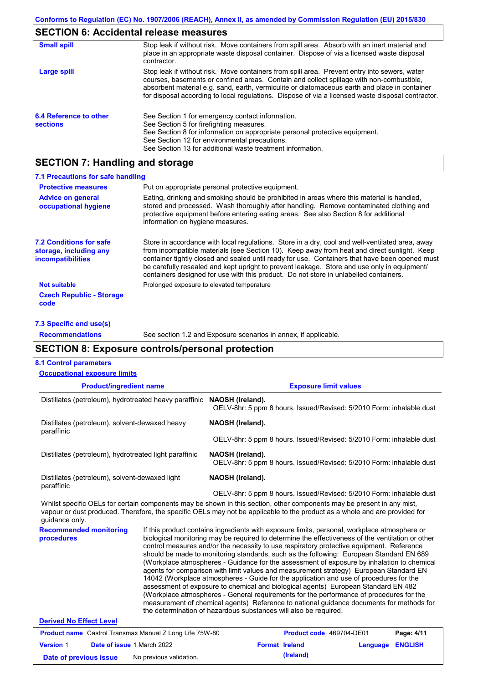## **SECTION 6: Accidental release measures**

| <b>Small spill</b>                        | Stop leak if without risk. Move containers from spill area. Absorb with an inert material and<br>place in an appropriate waste disposal container. Dispose of via a licensed waste disposal<br>contractor.                                                                                                                                                                                     |
|-------------------------------------------|------------------------------------------------------------------------------------------------------------------------------------------------------------------------------------------------------------------------------------------------------------------------------------------------------------------------------------------------------------------------------------------------|
| Large spill                               | Stop leak if without risk. Move containers from spill area. Prevent entry into sewers, water<br>courses, basements or confined areas. Contain and collect spillage with non-combustible,<br>absorbent material e.g. sand, earth, vermiculite or diatomaceous earth and place in container<br>for disposal according to local regulations. Dispose of via a licensed waste disposal contractor. |
| 6.4 Reference to other<br><b>sections</b> | See Section 1 for emergency contact information.<br>See Section 5 for firefighting measures.<br>See Section 8 for information on appropriate personal protective equipment.<br>See Section 12 for environmental precautions.<br>See Section 13 for additional waste treatment information.                                                                                                     |

## **SECTION 7: Handling and storage**

| 7.1 Precautions for safe handling                                                    |                                                                                                                                                                                                                                                                                                                                                                                                                                                                                          |
|--------------------------------------------------------------------------------------|------------------------------------------------------------------------------------------------------------------------------------------------------------------------------------------------------------------------------------------------------------------------------------------------------------------------------------------------------------------------------------------------------------------------------------------------------------------------------------------|
| <b>Protective measures</b>                                                           | Put on appropriate personal protective equipment.                                                                                                                                                                                                                                                                                                                                                                                                                                        |
| <b>Advice on general</b><br>occupational hygiene                                     | Eating, drinking and smoking should be prohibited in areas where this material is handled.<br>stored and processed. Wash thoroughly after handling. Remove contaminated clothing and<br>protective equipment before entering eating areas. See also Section 8 for additional<br>information on hygiene measures.                                                                                                                                                                         |
| <b>7.2 Conditions for safe</b><br>storage, including any<br><b>incompatibilities</b> | Store in accordance with local requlations. Store in a dry, cool and well-ventilated area, away<br>from incompatible materials (see Section 10). Keep away from heat and direct sunlight. Keep<br>container tightly closed and sealed until ready for use. Containers that have been opened must<br>be carefully resealed and kept upright to prevent leakage. Store and use only in equipment/<br>containers designed for use with this product. Do not store in unlabelled containers. |
| <b>Not suitable</b>                                                                  | Prolonged exposure to elevated temperature                                                                                                                                                                                                                                                                                                                                                                                                                                               |
| <b>Czech Republic - Storage</b><br>code                                              |                                                                                                                                                                                                                                                                                                                                                                                                                                                                                          |

#### **7.3 Specific end use(s)**

**Recommendations**

See section 1.2 and Exposure scenarios in annex, if applicable.

### **SECTION 8: Exposure controls/personal protection**

#### **Product/ingredient name Exposure limit values Recommended monitoring procedures** If this product contains ingredients with exposure limits, personal, workplace atmosphere or biological monitoring may be required to determine the effectiveness of the ventilation or other **8.1 Control parameters** Whilst specific OELs for certain components may be shown in this section, other components may be present in any mist, vapour or dust produced. Therefore, the specific OELs may not be applicable to the product as a whole and are provided for guidance only. **Occupational exposure limits** Distillates (petroleum), hydrotreated heavy paraffinic **NAOSH (Ireland).** OELV-8hr: 5 ppm 8 hours. Issued/Revised: 5/2010 Form: inhalable dust Distillates (petroleum), solvent-dewaxed heavy paraffinic **NAOSH (Ireland).** OELV-8hr: 5 ppm 8 hours. Issued/Revised: 5/2010 Form: inhalable dust Distillates (petroleum), hydrotreated light paraffinic **NAOSH (Ireland).** OELV-8hr: 5 ppm 8 hours. Issued/Revised: 5/2010 Form: inhalable dust Distillates (petroleum), solvent-dewaxed light paraffinic **NAOSH (Ireland).** OELV-8hr: 5 ppm 8 hours. Issued/Revised: 5/2010 Form: inhalable dust

control measures and/or the necessity to use respiratory protective equipment. Reference should be made to monitoring standards, such as the following: European Standard EN 689 (Workplace atmospheres - Guidance for the assessment of exposure by inhalation to chemical agents for comparison with limit values and measurement strategy) European Standard EN 14042 (Workplace atmospheres - Guide for the application and use of procedures for the assessment of exposure to chemical and biological agents) European Standard EN 482 (Workplace atmospheres - General requirements for the performance of procedures for the measurement of chemical agents) Reference to national guidance documents for methods for the determination of hazardous substances will also be required.

#### **Derived No Effect Level**

|                        | <b>Product name</b> Castrol Transmax Manual Z Long Life 75W-80 |                       | <b>Product code</b> 469704-DE01 |                         | Page: 4/11 |
|------------------------|----------------------------------------------------------------|-----------------------|---------------------------------|-------------------------|------------|
| <b>Version 1</b>       | <b>Date of issue 1 March 2022</b>                              | <b>Format Ireland</b> |                                 | <b>Language ENGLISH</b> |            |
| Date of previous issue | No previous validation.                                        |                       | (Ireland)                       |                         |            |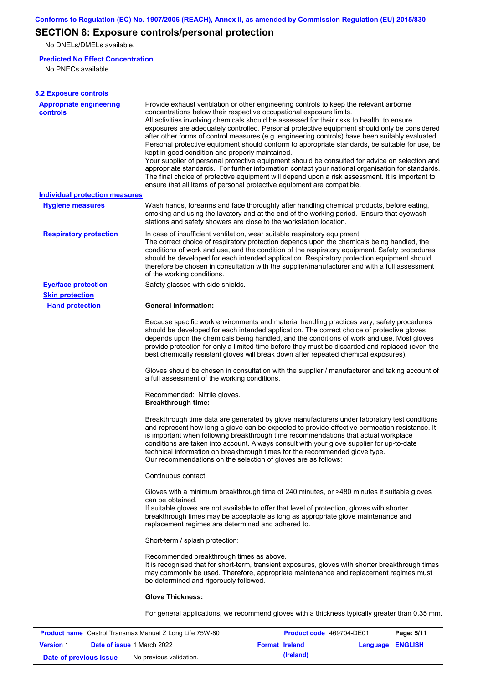# **SECTION 8: Exposure controls/personal protection**

No DNELs/DMELs available.

### **Predicted No Effect Concentration**

No PNECs available

| <b>8.2 Exposure controls</b>                      |                                                                                                                                                                                                                                                                                                                                                                                                                                                                                                                                                                                                                                                                                                                                                                                                                                                                                                                                                                                                         |
|---------------------------------------------------|---------------------------------------------------------------------------------------------------------------------------------------------------------------------------------------------------------------------------------------------------------------------------------------------------------------------------------------------------------------------------------------------------------------------------------------------------------------------------------------------------------------------------------------------------------------------------------------------------------------------------------------------------------------------------------------------------------------------------------------------------------------------------------------------------------------------------------------------------------------------------------------------------------------------------------------------------------------------------------------------------------|
| <b>Appropriate engineering</b><br><b>controls</b> | Provide exhaust ventilation or other engineering controls to keep the relevant airborne<br>concentrations below their respective occupational exposure limits.<br>All activities involving chemicals should be assessed for their risks to health, to ensure<br>exposures are adequately controlled. Personal protective equipment should only be considered<br>after other forms of control measures (e.g. engineering controls) have been suitably evaluated.<br>Personal protective equipment should conform to appropriate standards, be suitable for use, be<br>kept in good condition and properly maintained.<br>Your supplier of personal protective equipment should be consulted for advice on selection and<br>appropriate standards. For further information contact your national organisation for standards.<br>The final choice of protective equipment will depend upon a risk assessment. It is important to<br>ensure that all items of personal protective equipment are compatible. |
| <b>Individual protection measures</b>             |                                                                                                                                                                                                                                                                                                                                                                                                                                                                                                                                                                                                                                                                                                                                                                                                                                                                                                                                                                                                         |
| <b>Hygiene measures</b>                           | Wash hands, forearms and face thoroughly after handling chemical products, before eating,<br>smoking and using the lavatory and at the end of the working period. Ensure that eyewash<br>stations and safety showers are close to the workstation location.                                                                                                                                                                                                                                                                                                                                                                                                                                                                                                                                                                                                                                                                                                                                             |
| <b>Respiratory protection</b>                     | In case of insufficient ventilation, wear suitable respiratory equipment.<br>The correct choice of respiratory protection depends upon the chemicals being handled, the<br>conditions of work and use, and the condition of the respiratory equipment. Safety procedures<br>should be developed for each intended application. Respiratory protection equipment should<br>therefore be chosen in consultation with the supplier/manufacturer and with a full assessment<br>of the working conditions.                                                                                                                                                                                                                                                                                                                                                                                                                                                                                                   |
| <b>Eye/face protection</b>                        | Safety glasses with side shields.                                                                                                                                                                                                                                                                                                                                                                                                                                                                                                                                                                                                                                                                                                                                                                                                                                                                                                                                                                       |
| <b>Skin protection</b>                            |                                                                                                                                                                                                                                                                                                                                                                                                                                                                                                                                                                                                                                                                                                                                                                                                                                                                                                                                                                                                         |
| <b>Hand protection</b>                            | <b>General Information:</b>                                                                                                                                                                                                                                                                                                                                                                                                                                                                                                                                                                                                                                                                                                                                                                                                                                                                                                                                                                             |
|                                                   | Because specific work environments and material handling practices vary, safety procedures<br>should be developed for each intended application. The correct choice of protective gloves<br>depends upon the chemicals being handled, and the conditions of work and use. Most gloves<br>provide protection for only a limited time before they must be discarded and replaced (even the<br>best chemically resistant gloves will break down after repeated chemical exposures).                                                                                                                                                                                                                                                                                                                                                                                                                                                                                                                        |
|                                                   | Gloves should be chosen in consultation with the supplier / manufacturer and taking account of<br>a full assessment of the working conditions.                                                                                                                                                                                                                                                                                                                                                                                                                                                                                                                                                                                                                                                                                                                                                                                                                                                          |
|                                                   | Recommended: Nitrile gloves.<br><b>Breakthrough time:</b>                                                                                                                                                                                                                                                                                                                                                                                                                                                                                                                                                                                                                                                                                                                                                                                                                                                                                                                                               |
|                                                   | Breakthrough time data are generated by glove manufacturers under laboratory test conditions<br>and represent how long a glove can be expected to provide effective permeation resistance. It<br>is important when following breakthrough time recommendations that actual workplace<br>conditions are taken into account. Always consult with your glove supplier for up-to-date<br>technical information on breakthrough times for the recommended glove type.<br>Our recommendations on the selection of gloves are as follows:                                                                                                                                                                                                                                                                                                                                                                                                                                                                      |
|                                                   | Continuous contact:                                                                                                                                                                                                                                                                                                                                                                                                                                                                                                                                                                                                                                                                                                                                                                                                                                                                                                                                                                                     |
|                                                   | Gloves with a minimum breakthrough time of 240 minutes, or >480 minutes if suitable gloves<br>can be obtained.<br>If suitable gloves are not available to offer that level of protection, gloves with shorter<br>breakthrough times may be acceptable as long as appropriate glove maintenance and<br>replacement regimes are determined and adhered to.                                                                                                                                                                                                                                                                                                                                                                                                                                                                                                                                                                                                                                                |
|                                                   | Short-term / splash protection:                                                                                                                                                                                                                                                                                                                                                                                                                                                                                                                                                                                                                                                                                                                                                                                                                                                                                                                                                                         |
|                                                   | Recommended breakthrough times as above.<br>It is recognised that for short-term, transient exposures, gloves with shorter breakthrough times<br>may commonly be used. Therefore, appropriate maintenance and replacement regimes must<br>be determined and rigorously followed.                                                                                                                                                                                                                                                                                                                                                                                                                                                                                                                                                                                                                                                                                                                        |
|                                                   | <b>Glove Thickness:</b>                                                                                                                                                                                                                                                                                                                                                                                                                                                                                                                                                                                                                                                                                                                                                                                                                                                                                                                                                                                 |
|                                                   | For general applications, we recommend gloves with a thickness typically greater than 0.35 mm.                                                                                                                                                                                                                                                                                                                                                                                                                                                                                                                                                                                                                                                                                                                                                                                                                                                                                                          |

|                        | <b>Product name</b> Castrol Transmax Manual Z Long Life 75W-80 | <b>Product code</b> 469704-DE01 |                  | Page: 5/11 |
|------------------------|----------------------------------------------------------------|---------------------------------|------------------|------------|
| <b>Version 1</b>       | <b>Date of issue 1 March 2022</b>                              | <b>Format Ireland</b>           | Language ENGLISH |            |
| Date of previous issue | No previous validation.                                        | (Ireland)                       |                  |            |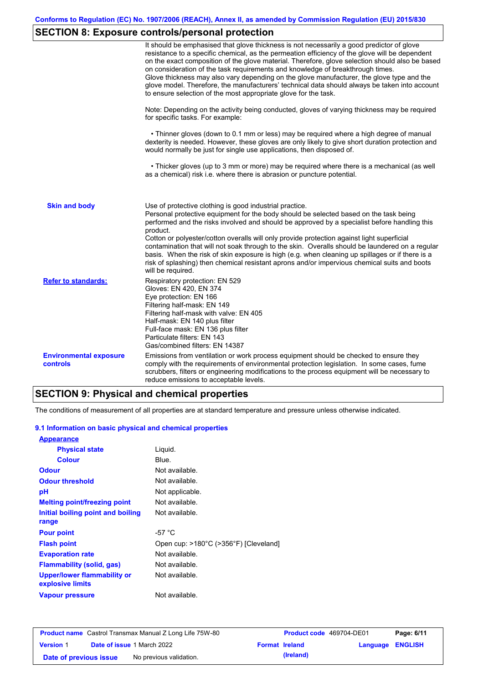# **SECTION 8: Exposure controls/personal protection**

|                                           | It should be emphasised that glove thickness is not necessarily a good predictor of glove<br>resistance to a specific chemical, as the permeation efficiency of the glove will be dependent<br>on the exact composition of the glove material. Therefore, glove selection should also be based<br>on consideration of the task requirements and knowledge of breakthrough times.<br>Glove thickness may also vary depending on the glove manufacturer, the glove type and the<br>glove model. Therefore, the manufacturers' technical data should always be taken into account<br>to ensure selection of the most appropriate glove for the task.                                     |
|-------------------------------------------|---------------------------------------------------------------------------------------------------------------------------------------------------------------------------------------------------------------------------------------------------------------------------------------------------------------------------------------------------------------------------------------------------------------------------------------------------------------------------------------------------------------------------------------------------------------------------------------------------------------------------------------------------------------------------------------|
|                                           | Note: Depending on the activity being conducted, gloves of varying thickness may be required<br>for specific tasks. For example:                                                                                                                                                                                                                                                                                                                                                                                                                                                                                                                                                      |
|                                           | • Thinner gloves (down to 0.1 mm or less) may be required where a high degree of manual<br>dexterity is needed. However, these gloves are only likely to give short duration protection and<br>would normally be just for single use applications, then disposed of.                                                                                                                                                                                                                                                                                                                                                                                                                  |
|                                           | • Thicker gloves (up to 3 mm or more) may be required where there is a mechanical (as well<br>as a chemical) risk i.e. where there is abrasion or puncture potential.                                                                                                                                                                                                                                                                                                                                                                                                                                                                                                                 |
| <b>Skin and body</b>                      | Use of protective clothing is good industrial practice.<br>Personal protective equipment for the body should be selected based on the task being<br>performed and the risks involved and should be approved by a specialist before handling this<br>product.<br>Cotton or polyester/cotton overalls will only provide protection against light superficial<br>contamination that will not soak through to the skin. Overalls should be laundered on a regular<br>basis. When the risk of skin exposure is high (e.g. when cleaning up spillages or if there is a<br>risk of splashing) then chemical resistant aprons and/or impervious chemical suits and boots<br>will be required. |
| <b>Refer to standards:</b>                | Respiratory protection: EN 529<br>Gloves: EN 420, EN 374<br>Eye protection: EN 166<br>Filtering half-mask: EN 149<br>Filtering half-mask with valve: EN 405<br>Half-mask: EN 140 plus filter<br>Full-face mask: EN 136 plus filter<br>Particulate filters: EN 143<br>Gas/combined filters: EN 14387                                                                                                                                                                                                                                                                                                                                                                                   |
| <b>Environmental exposure</b><br>controls | Emissions from ventilation or work process equipment should be checked to ensure they<br>comply with the requirements of environmental protection legislation. In some cases, fume<br>scrubbers, filters or engineering modifications to the process equipment will be necessary to<br>reduce emissions to acceptable levels.                                                                                                                                                                                                                                                                                                                                                         |

# **SECTION 9: Physical and chemical properties**

The conditions of measurement of all properties are at standard temperature and pressure unless otherwise indicated.

### **9.1 Information on basic physical and chemical properties**

| <b>Appearance</b>                                      |                                       |
|--------------------------------------------------------|---------------------------------------|
| <b>Physical state</b>                                  | Liquid.                               |
| <b>Colour</b>                                          | Blue.                                 |
| Odour                                                  | Not available.                        |
| <b>Odour threshold</b>                                 | Not available.                        |
| рH                                                     | Not applicable.                       |
| <b>Melting point/freezing point</b>                    | Not available.                        |
| Initial boiling point and boiling                      | Not available.                        |
| range                                                  |                                       |
| <b>Pour point</b>                                      | -57 $^{\circ}$ C                      |
| <b>Flash point</b>                                     | Open cup: >180°C (>356°F) [Cleveland] |
| <b>Evaporation rate</b>                                | Not available.                        |
| Flammability (solid, gas)                              | Not available.                        |
| <b>Upper/lower flammability or</b><br>explosive limits | Not available.                        |
| <b>Vapour pressure</b>                                 | Not available.                        |

| <b>Product name</b> Castrol Transmax Manual Z Long Life 75W-80 |  |                                   | <b>Product code</b> 469704-DE01 |           | Page: 6/11       |  |
|----------------------------------------------------------------|--|-----------------------------------|---------------------------------|-----------|------------------|--|
| <b>Version 1</b>                                               |  | <b>Date of issue 1 March 2022</b> | <b>Format Ireland</b>           |           | Language ENGLISH |  |
| Date of previous issue                                         |  | No previous validation.           |                                 | (Ireland) |                  |  |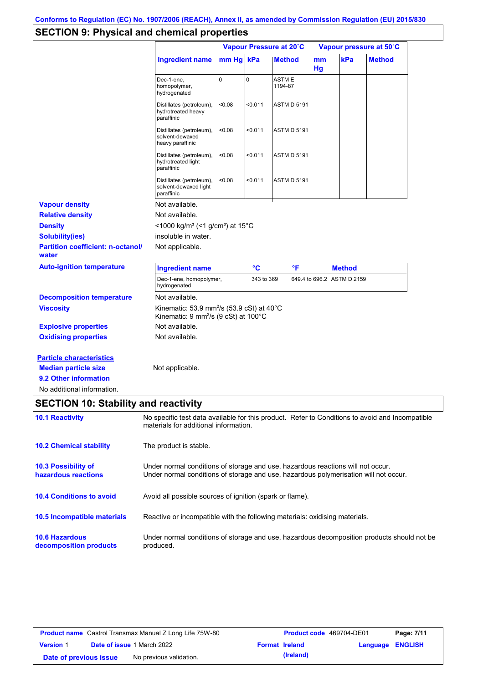# **SECTION 9: Physical and chemical properties**

|                                                                                                                       |                                                                                                                                                                         |             | Vapour Pressure at 20°C |                   | Vapour pressure at 50°C |                            |               |
|-----------------------------------------------------------------------------------------------------------------------|-------------------------------------------------------------------------------------------------------------------------------------------------------------------------|-------------|-------------------------|-------------------|-------------------------|----------------------------|---------------|
|                                                                                                                       | <b>Ingredient name</b>                                                                                                                                                  | mm Hg kPa   |                         | <b>Method</b>     | mm<br>Hg                | kPa                        | <b>Method</b> |
|                                                                                                                       | Dec-1-ene,<br>homopolymer,<br>hydrogenated                                                                                                                              | $\mathbf 0$ | 0                       | ASTM E<br>1194-87 |                         |                            |               |
|                                                                                                                       | Distillates (petroleum),<br>hydrotreated heavy<br>paraffinic                                                                                                            | < 0.08      | $0.011$                 | ASTM D 5191       |                         |                            |               |
|                                                                                                                       | Distillates (petroleum),<br>solvent-dewaxed<br>heavy paraffinic                                                                                                         | < 0.08      | $0.011$                 | ASTM D 5191       |                         |                            |               |
|                                                                                                                       | Distillates (petroleum),<br>hydrotreated light<br>paraffinic                                                                                                            | < 0.08      | $0.011$                 | ASTM D 5191       |                         |                            |               |
|                                                                                                                       | Distillates (petroleum),<br>solvent-dewaxed light<br>paraffinic                                                                                                         | < 0.08      | $0.011$                 | ASTM D 5191       |                         |                            |               |
| <b>Vapour density</b>                                                                                                 | Not available.                                                                                                                                                          |             |                         |                   |                         |                            |               |
| <b>Relative density</b>                                                                                               | Not available.                                                                                                                                                          |             |                         |                   |                         |                            |               |
| <b>Density</b>                                                                                                        | <1000 kg/m <sup>3</sup> (<1 g/cm <sup>3</sup> ) at 15 <sup>°</sup> C                                                                                                    |             |                         |                   |                         |                            |               |
| <b>Solubility(ies)</b>                                                                                                | insoluble in water.                                                                                                                                                     |             |                         |                   |                         |                            |               |
| <b>Partition coefficient: n-octanol/</b><br>water                                                                     | Not applicable.                                                                                                                                                         |             |                         |                   |                         |                            |               |
| <b>Auto-ignition temperature</b>                                                                                      | <b>Ingredient name</b>                                                                                                                                                  |             | °C                      | °F                |                         | <b>Method</b>              |               |
|                                                                                                                       | Dec-1-ene, homopolymer,<br>hydrogenated                                                                                                                                 |             | 343 to 369              |                   |                         | 649.4 to 696.2 ASTM D 2159 |               |
| <b>Decomposition temperature</b>                                                                                      | Not available.                                                                                                                                                          |             |                         |                   |                         |                            |               |
| <b>Viscosity</b>                                                                                                      | Kinematic: 53.9 mm <sup>2</sup> /s (53.9 cSt) at 40 $^{\circ}$ C<br>Kinematic: 9 mm <sup>2</sup> /s (9 cSt) at 100°C                                                    |             |                         |                   |                         |                            |               |
| <b>Explosive properties</b>                                                                                           | Not available.                                                                                                                                                          |             |                         |                   |                         |                            |               |
| <b>Oxidising properties</b>                                                                                           | Not available.                                                                                                                                                          |             |                         |                   |                         |                            |               |
| <b>Particle characteristics</b><br><b>Median particle size</b><br>9.2 Other information<br>No additional information. | Not applicable.                                                                                                                                                         |             |                         |                   |                         |                            |               |
| <b>SECTION 10: Stability and reactivity</b>                                                                           |                                                                                                                                                                         |             |                         |                   |                         |                            |               |
| <b>10.1 Reactivity</b>                                                                                                | No specific test data available for this product. Refer to Conditions to avoid and Incompatible<br>materials for additional information.                                |             |                         |                   |                         |                            |               |
| <b>10.2 Chemical stability</b>                                                                                        | The product is stable.                                                                                                                                                  |             |                         |                   |                         |                            |               |
| 10.3 Possibility of<br>hazardous reactions                                                                            | Under normal conditions of storage and use, hazardous reactions will not occur.<br>Under normal conditions of storage and use, hazardous polymerisation will not occur. |             |                         |                   |                         |                            |               |
| <b>10.4 Conditions to avoid</b>                                                                                       | Avoid all possible sources of ignition (spark or flame).                                                                                                                |             |                         |                   |                         |                            |               |
| 10.5 Incompatible materials                                                                                           | Reactive or incompatible with the following materials: oxidising materials.                                                                                             |             |                         |                   |                         |                            |               |
| <b>10.6 Hazardous</b><br>decomposition products                                                                       | Under normal conditions of storage and use, hazardous decomposition products should not be<br>produced.                                                                 |             |                         |                   |                         |                            |               |
|                                                                                                                       |                                                                                                                                                                         |             |                         |                   |                         |                            |               |

| <b>Product name</b> Castrol Transmax Manual Z Long Life 75W-80 |  |                                   | <b>Product code</b> 469704-DE01 |           | Page: 7/11              |  |
|----------------------------------------------------------------|--|-----------------------------------|---------------------------------|-----------|-------------------------|--|
| <b>Version 1</b>                                               |  | <b>Date of issue 1 March 2022</b> | <b>Format Ireland</b>           |           | <b>Language ENGLISH</b> |  |
| Date of previous issue                                         |  | No previous validation.           |                                 | (Ireland) |                         |  |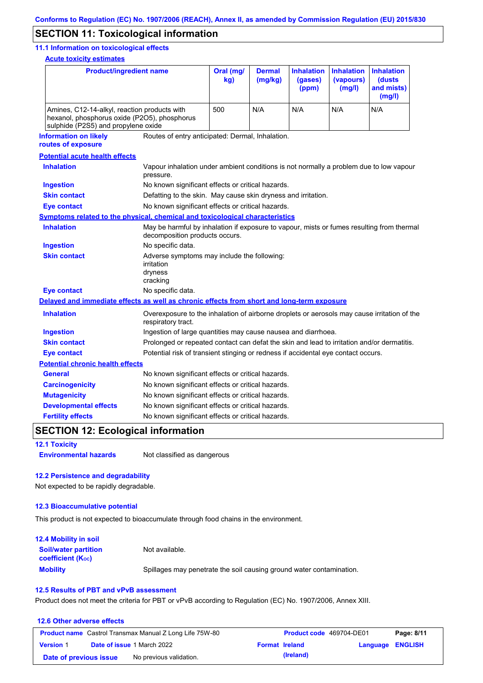## **SECTION 11: Toxicological information**

#### **11.1 Information on toxicological effects**

**Acute toxicity estimates**

| <b>Product/ingredient name</b>                                                                                                      |                                                                                                                             | Oral (mg/<br>kg) | <b>Dermal</b><br>(mg/kg) | <b>Inhalation</b><br>(gases)<br>(ppm) | <b>Inhalation</b><br>(vapours)<br>(mg/l) | <b>Inhalation</b><br>(dusts<br>and mists)<br>(mg/l) |
|-------------------------------------------------------------------------------------------------------------------------------------|-----------------------------------------------------------------------------------------------------------------------------|------------------|--------------------------|---------------------------------------|------------------------------------------|-----------------------------------------------------|
| Amines, C12-14-alkyl, reaction products with<br>hexanol, phosphorus oxide (P2O5), phosphorus<br>sulphide (P2S5) and propylene oxide |                                                                                                                             | 500              | N/A                      | N/A                                   | N/A                                      | N/A                                                 |
| <b>Information on likely</b><br>routes of exposure                                                                                  | Routes of entry anticipated: Dermal, Inhalation.                                                                            |                  |                          |                                       |                                          |                                                     |
| <b>Potential acute health effects</b>                                                                                               |                                                                                                                             |                  |                          |                                       |                                          |                                                     |
| <b>Inhalation</b>                                                                                                                   | Vapour inhalation under ambient conditions is not normally a problem due to low vapour<br>pressure.                         |                  |                          |                                       |                                          |                                                     |
| <b>Ingestion</b>                                                                                                                    | No known significant effects or critical hazards.                                                                           |                  |                          |                                       |                                          |                                                     |
| <b>Skin contact</b>                                                                                                                 | Defatting to the skin. May cause skin dryness and irritation.                                                               |                  |                          |                                       |                                          |                                                     |
| <b>Eye contact</b>                                                                                                                  | No known significant effects or critical hazards.                                                                           |                  |                          |                                       |                                          |                                                     |
| Symptoms related to the physical, chemical and toxicological characteristics                                                        |                                                                                                                             |                  |                          |                                       |                                          |                                                     |
| <b>Inhalation</b>                                                                                                                   | May be harmful by inhalation if exposure to vapour, mists or fumes resulting from thermal<br>decomposition products occurs. |                  |                          |                                       |                                          |                                                     |
| <b>Ingestion</b>                                                                                                                    | No specific data.                                                                                                           |                  |                          |                                       |                                          |                                                     |
| <b>Skin contact</b>                                                                                                                 | Adverse symptoms may include the following:<br>irritation<br>dryness<br>cracking                                            |                  |                          |                                       |                                          |                                                     |
| <b>Eye contact</b>                                                                                                                  | No specific data.                                                                                                           |                  |                          |                                       |                                          |                                                     |
| Delayed and immediate effects as well as chronic effects from short and long-term exposure                                          |                                                                                                                             |                  |                          |                                       |                                          |                                                     |
| <b>Inhalation</b>                                                                                                                   | Overexposure to the inhalation of airborne droplets or aerosols may cause irritation of the<br>respiratory tract.           |                  |                          |                                       |                                          |                                                     |
| <b>Ingestion</b>                                                                                                                    | Ingestion of large quantities may cause nausea and diarrhoea.                                                               |                  |                          |                                       |                                          |                                                     |
| <b>Skin contact</b>                                                                                                                 | Prolonged or repeated contact can defat the skin and lead to irritation and/or dermatitis.                                  |                  |                          |                                       |                                          |                                                     |
| <b>Eye contact</b>                                                                                                                  | Potential risk of transient stinging or redness if accidental eye contact occurs.                                           |                  |                          |                                       |                                          |                                                     |
| <b>Potential chronic health effects</b>                                                                                             |                                                                                                                             |                  |                          |                                       |                                          |                                                     |
| <b>General</b>                                                                                                                      | No known significant effects or critical hazards.                                                                           |                  |                          |                                       |                                          |                                                     |
| <b>Carcinogenicity</b>                                                                                                              | No known significant effects or critical hazards.                                                                           |                  |                          |                                       |                                          |                                                     |
| <b>Mutagenicity</b>                                                                                                                 | No known significant effects or critical hazards.                                                                           |                  |                          |                                       |                                          |                                                     |
| <b>Developmental effects</b>                                                                                                        | No known significant effects or critical hazards.                                                                           |                  |                          |                                       |                                          |                                                     |
| <b>Fertility effects</b>                                                                                                            | No known significant effects or critical hazards.                                                                           |                  |                          |                                       |                                          |                                                     |

## **SECTION 12: Ecological information**

**12.1 Toxicity**

**Environmental hazards** Not classified as dangerous

#### **12.2 Persistence and degradability**

Not expected to be rapidly degradable.

#### **12.3 Bioaccumulative potential**

This product is not expected to bioaccumulate through food chains in the environment.

| <b>12.4 Mobility in soil</b>                            |                                                                      |
|---------------------------------------------------------|----------------------------------------------------------------------|
| <b>Soil/water partition</b><br><b>coefficient (Koc)</b> | Not available.                                                       |
| <b>Mobility</b>                                         | Spillages may penetrate the soil causing ground water contamination. |

#### **12.5 Results of PBT and vPvB assessment**

Product does not meet the criteria for PBT or vPvB according to Regulation (EC) No. 1907/2006, Annex XIII.

### **12.6 Other adverse effects Product name** Castrol Transmax Manual Z Long Life 75W-80 **Product code** 469704-DE01 **Page: 8/11 Version** 1 **Date of issue** 1 March 2022 **Format Ireland Language ENGLISH Date of previous issue** No previous validation. **All includes** (Ireland)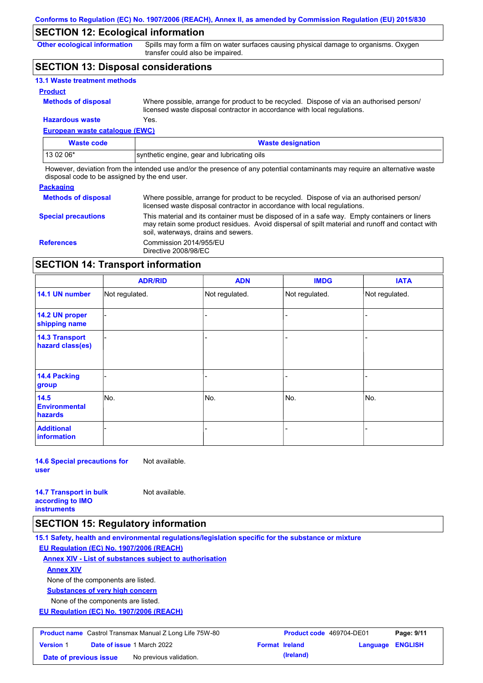## **SECTION 12: Ecological information**

**Other ecological information**

Spills may form a film on water surfaces causing physical damage to organisms. Oxygen transfer could also be impaired.

## **SECTION 13: Disposal considerations**

| <b>13.1 Waste treatment methods</b> |                                                                                                                                                                      |
|-------------------------------------|----------------------------------------------------------------------------------------------------------------------------------------------------------------------|
| <b>Product</b>                      |                                                                                                                                                                      |
| <b>Methods of disposal</b>          | Where possible, arrange for product to be recycled. Dispose of via an authorised person/<br>licensed waste disposal contractor in accordance with local regulations. |
| <b>Hazardous waste</b>              | Yes.                                                                                                                                                                 |

## **European waste catalogue (EWC)**

| <b>Waste code</b> | <b>Waste designation</b>                    |
|-------------------|---------------------------------------------|
| 13 02 06*         | synthetic engine, gear and lubricating oils |

However, deviation from the intended use and/or the presence of any potential contaminants may require an alternative waste disposal code to be assigned by the end user.

#### **Packaging**

| <b>Methods of disposal</b> | Where possible, arrange for product to be recycled. Dispose of via an authorised person/<br>licensed waste disposal contractor in accordance with local regulations.                                                                    |
|----------------------------|-----------------------------------------------------------------------------------------------------------------------------------------------------------------------------------------------------------------------------------------|
| <b>Special precautions</b> | This material and its container must be disposed of in a safe way. Empty containers or liners<br>may retain some product residues. Avoid dispersal of spilt material and runoff and contact with<br>soil, waterways, drains and sewers. |
| <b>References</b>          | Commission 2014/955/EU<br>Directive 2008/98/EC                                                                                                                                                                                          |

## **SECTION 14: Transport information**

|                                           | <b>ADR/RID</b> | <b>ADN</b>     | <b>IMDG</b>    | <b>IATA</b>    |
|-------------------------------------------|----------------|----------------|----------------|----------------|
| 14.1 UN number                            | Not regulated. | Not regulated. | Not regulated. | Not regulated. |
| 14.2 UN proper<br>shipping name           |                |                |                |                |
| <b>14.3 Transport</b><br>hazard class(es) |                |                |                |                |
| 14.4 Packing<br>group                     |                |                |                |                |
| 14.5<br><b>Environmental</b><br>hazards   | No.            | No.            | No.            | No.            |
| <b>Additional</b><br>information          |                |                | -              |                |

**14.6 Special precautions for user** Not available.

**14.7 Transport in bulk according to IMO** 

Not available.

**instruments**

## **SECTION 15: Regulatory information**

**15.1 Safety, health and environmental regulations/legislation specific for the substance or mixture**

**EU Regulation (EC) No. 1907/2006 (REACH)**

**Annex XIV - List of substances subject to authorisation**

## **Annex XIV**

None of the components are listed.

**Substances of very high concern**

None of the components are listed.

**EU Regulation (EC) No. 1907/2006 (REACH)**

| <b>Product name</b> Castrol Transmax Manual Z Long Life 75W-80 |  | <b>Product code</b> 469704-DE01   |                       | Page: 9/11 |                         |  |
|----------------------------------------------------------------|--|-----------------------------------|-----------------------|------------|-------------------------|--|
| <b>Version 1</b>                                               |  | <b>Date of issue 1 March 2022</b> | <b>Format Ireland</b> |            | <b>Language ENGLISH</b> |  |
| Date of previous issue                                         |  | No previous validation.           |                       | (Ireland)  |                         |  |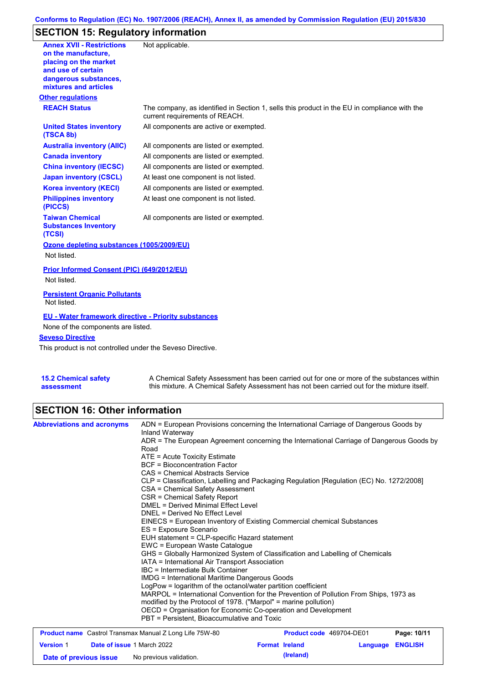## **Conforms to Regulation (EC) No. 1907/2006 (REACH), Annex II, as amended by Commission Regulation (EU) 2015/830**

# **SECTION 15: Regulatory information**

| <b>Annex XVII - Restrictions</b><br>on the manufacture,<br>placing on the market<br>and use of certain<br>dangerous substances,<br>mixtures and articles | Not applicable.                                                                                                                |
|----------------------------------------------------------------------------------------------------------------------------------------------------------|--------------------------------------------------------------------------------------------------------------------------------|
| <b>Other regulations</b>                                                                                                                                 |                                                                                                                                |
| <b>REACH Status</b>                                                                                                                                      | The company, as identified in Section 1, sells this product in the EU in compliance with the<br>current requirements of REACH. |
| <b>United States inventory</b><br>(TSCA 8b)                                                                                                              | All components are active or exempted.                                                                                         |
| <b>Australia inventory (AIIC)</b>                                                                                                                        | All components are listed or exempted.                                                                                         |
| <b>Canada inventory</b>                                                                                                                                  | All components are listed or exempted.                                                                                         |
| <b>China inventory (IECSC)</b>                                                                                                                           | All components are listed or exempted.                                                                                         |
| <b>Japan inventory (CSCL)</b>                                                                                                                            | At least one component is not listed.                                                                                          |
| <b>Korea inventory (KECI)</b>                                                                                                                            | All components are listed or exempted.                                                                                         |
| <b>Philippines inventory</b><br>(PICCS)                                                                                                                  | At least one component is not listed.                                                                                          |
| <b>Taiwan Chemical</b><br><b>Substances Inventory</b><br>(TCSI)                                                                                          | All components are listed or exempted.                                                                                         |
| Ozone depleting substances (1005/2009/EU)                                                                                                                |                                                                                                                                |
| Not listed.                                                                                                                                              |                                                                                                                                |
| Prior Informed Consent (PIC) (649/2012/EU)                                                                                                               |                                                                                                                                |
| Not listed.                                                                                                                                              |                                                                                                                                |
| <b>Persistent Organic Pollutants</b><br>Not listed.                                                                                                      |                                                                                                                                |
| <b>EU - Water framework directive - Priority substances</b>                                                                                              |                                                                                                                                |
| None of the components are listed.                                                                                                                       |                                                                                                                                |
| <b>Seveso Directive</b>                                                                                                                                  |                                                                                                                                |
| This product is not controlled under the Seveso Directive.                                                                                               |                                                                                                                                |
|                                                                                                                                                          |                                                                                                                                |

**15.2 Chemical safety assessment** A Chemical Safety Assessment has been carried out for one or more of the substances within this mixture. A Chemical Safety Assessment has not been carried out for the mixture itself.

## **SECTION 16: Other information**

| <b>Abbreviations and acronyms</b>                                                                                | ADN = European Provisions concerning the International Carriage of Dangerous Goods by<br>Inland Waterway<br>ADR = The European Agreement concerning the International Carriage of Dangerous Goods by<br>Road<br>$ATE =$ Acute Toxicity Estimate<br><b>BCF</b> = Bioconcentration Factor<br>CAS = Chemical Abstracts Service<br>CLP = Classification, Labelling and Packaging Regulation [Regulation (EC) No. 1272/2008]<br>CSA = Chemical Safety Assessment<br>CSR = Chemical Safety Report<br>DMEL = Derived Minimal Effect Level<br>DNEL = Derived No Effect Level<br>EINECS = European Inventory of Existing Commercial chemical Substances<br>ES = Exposure Scenario<br>EUH statement = CLP-specific Hazard statement<br>EWC = European Waste Catalogue |                       |          |                               |  |  |
|------------------------------------------------------------------------------------------------------------------|-------------------------------------------------------------------------------------------------------------------------------------------------------------------------------------------------------------------------------------------------------------------------------------------------------------------------------------------------------------------------------------------------------------------------------------------------------------------------------------------------------------------------------------------------------------------------------------------------------------------------------------------------------------------------------------------------------------------------------------------------------------|-----------------------|----------|-------------------------------|--|--|
|                                                                                                                  | IATA = International Air Transport Association<br>IBC = Intermediate Bulk Container<br><b>IMDG</b> = International Maritime Dangerous Goods<br>LogPow = logarithm of the octanol/water partition coefficient<br>MARPOL = International Convention for the Prevention of Pollution From Ships, 1973 as<br>modified by the Protocol of 1978. ("Marpol" = marine pollution)<br>OECD = Organisation for Economic Co-operation and Development<br>PBT = Persistent, Bioaccumulative and Toxic<br>Product code 469704-DE01                                                                                                                                                                                                                                        |                       |          |                               |  |  |
| <b>Product name</b> Castrol Transmax Manual Z Long Life 75W-80<br>Date of issue 1 March 2022<br><b>Version 1</b> |                                                                                                                                                                                                                                                                                                                                                                                                                                                                                                                                                                                                                                                                                                                                                             | <b>Format Ireland</b> | Language | Page: 10/11<br><b>ENGLISH</b> |  |  |

**Date of previous issue** No previous validation. **Concrete to the language of previous issue** No previous validation.